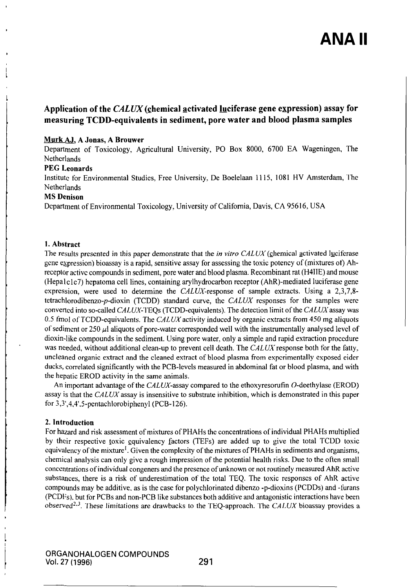## ANAM

## Application of the CALUX (chemical activated luciferase gene expression) assay for measuring TCDD-equivalents in sediment, pore water and blood plasma samples

#### Murk AJ, A Jonas, A Brouwer

Department of Toxicology, Agricultural University, PO Box 8000, 6700 EA Wageningen, The **Netherlands** 

## PEG Leonards

Institute for Environmental Studies, Free University, De Boelelaan 1115, 1081 HV Amsterdam, The Netherlands

### MS Denison

Department of Environmenlal Toxicology, University of Califomia, Davis, CA 95616, USA

#### 1. Abstract

The results presented in this paper demonstrate that the *in vitro CALUX* (chemical activated luciferase gene expression) bioassay is a rapid, sensitive assay for assessing the toxic potency of (mixtures of) Ahreceptor active compounds in sediment, pore water and blood plasma. Recombinant rat (H4IIE) and mouse (Hepalclc7) hepatoma cell lines, containing arylhydrocarbon receptor (AhR)-medialed luciferase gene expression, were used to determine the  $CALUX$ -response of sample extracts. Using a 2,3,7,8tetrachlorodibenzo-p-dioxin (TCDD) standard curve, the  $CALUX$  responses for the samples were converted into so-called CALUX-TEQs (TCDD-equivalents). The detection limit of the CALUX assay was 0.5 fmol of TCDD-equivalents. The CALUX activity induced by organic extracts from 450 mg aliquots of sediment or 250  $\mu$ l aliquots of pore-water corresponded well with the instrumentally analysed level of dioxin-like compounds in the sediment. Using pore water, only a simple and rapid extraction procedure was needed, without additional clean-up to prevent cell death. The  $CALUX$  response both for the fatty, uncleaned organic extract and the cleaned extract of blood plasma from experimentally exposed eider ducks, correlated significantly with the PCB-levcls measured in abdominal fal or blood plasma, and wilh the hepatic EROD activity in the same animals.

An important advantage of the  $CALUX$ -assay compared to the ethoxyresorufin  $O$ -deethylase (EROD) assay is that the CALUX assay is insensitive to substrate inhibition, which is demonstrated in this paper for 3,3',4,4'.5-pentachlorobiphenyl (PCB-126).

#### 2. Introduction

For hazard and risk assessment of mixtures of PHAHs the concentrations of individual PHAHs multiplied by their respective toxic equivalency factors (TEFs) are added up to give the total TCDD toxic equivalency of the mixture<sup> $\text{I}$ </sup>. Given the complexity of the mixtures of PHAHs in sediments and organisms, chemical analysis can only give a rough impression of the potential health risks. Due to the often small concentrations of individual congeners and the presence of unknown or not routinely measured AhR active substances, there is a risk of underestimation of the total TEQ. The toxic responses of AhR active compounds may be additive, as is the case for polychlorinated dibenzo -p-dioxins (PCDDs) and -furans (PCDl's). but for PCBs and non-PCB like substances both additive and antagonistic interactions have been observed<sup>2.3</sup>. These limitations are drawbacks to the TEQ-approach. The CALUX bioassay provides a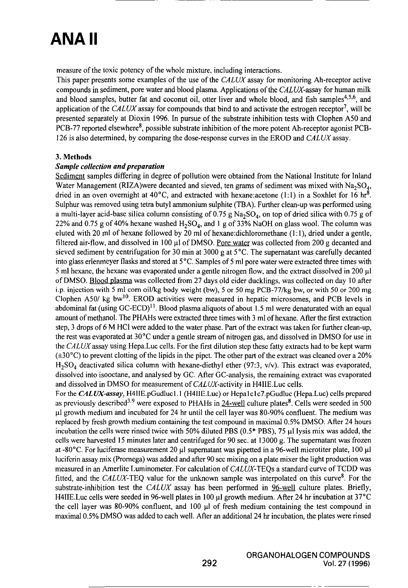# **ANAII**

measure of the toxic potency of the whole mixture, including interactions.

This paper presents some examples of the use of the  $CALUX$  assay for monitoring Ah-receptor active compounds in sediment, pore water and blood plasma. Applications of the  $CALUX$ -assay for human milk and blood samples, butter fat and coconut oil, otter liver and whole blood, and fish samples<sup>4,5,6</sup>, and application of the  $CALUX$  assay for compounds that bind to and activate the estrogen receptor<sup>7</sup>, will be presented separately at Dioxin 1996. In pursue of the substrate inhibition tests with Clophen A50 and PCB-77 reported elsewhere<sup>8</sup>, possible substrate inhibition of the more potent Ah-receptor agonist PCB-126 is also determined, by comparing the dose-response curves in the EROD and CALUX assay.

## 3. Methods

## Sample collection and preparation

Sediment samples differing in degree of pollution were obtained from the National Institute for Inland Water Management (RIZA)were decanted and sieved, ten grams of sediment was mixed with  $Na<sub>2</sub>SO<sub>4</sub>$ , dried in an oven overnight at 40°C, and extracted with hexane:acetone (1:1) in a Soxhlet for 16 hr<sup>8</sup>. Sulphur was removed using tetra butyl ammonium sulphite (TBA). Further clean-up was performed using a multi-layer acid-base silica column consisting of 0.75 g Na<sub>2</sub>SO<sub>4</sub>, on top of dried silica with 0.75 g of 22% and 0.75 g of 40% hexane washed  $H_2SO_4$ , and 1 g of 33% NaOH on glass wool. The column was eluted with 20 ml of hexane followed by 20 ml of hexane:dichloromethane (1:1), dried under a gentle, filtered air-flow, and dissolved in 100  $\mu$ l of DMSO. Pore water was collected from 200 g decanted and sieved sediment by centrifugation for 30 min at 3000 g at 5°C. The supernatant was carefully decanted into glass erienmeyer flasks and stored at 5°C. Samples of 5 ml pore waler were extracted three times with 5 ml hexane, the hexane was evaporated under a gentle nitrogen flow, and thc extract dissolved in 200 pl of DMSO. Blood plasma was collected from 27 days old eider ducklings, was collected on day 10 after i.p. injection wilh 5 ml com oil/kg body weight (bw), 5 or 50 mg PCB-77/kg bw, or with 50 or 200 mg Clophen A50/ kg bw<sup>10</sup>. EROD activities were measured in hepatic microsomes, and PCB levels in abdominal fat (using GC-ECD)<sup>11</sup>. Blood plasma aliquots of about 1.5 ml were denaturated with an equal amounl of methanol. The PHAHs were extracted three times wilh 3 ml of hexane. After the first extraction step, 3 drops of 6 M HCl were added to the water phase. Part of the extract was taken for further clean-up, the rest was evaporated at  $30^{\circ}$ C under a gentle stream of nitrogen gas, and dissolved in DMSO for use in the CALUX assay using Hepa.Luc cells. For the first dilution step these fatty extracts had to be kept warm  $(\pm 30^{\circ}$ C) to prevent clotting of the lipids in the pipct. The other part of the extract was cleaned over a 20%  $H_2SO_4$  deactivated silica column with hexane-diethyl ether (97:3, v/v). This extract was evaporated, dissolved into isooctane, and analysed by GC. After GC-analysis, the remaining extract was evaporated and dissolved in DMSO for measurement of CALUX-activity in H4IIE.Luc cells.

For the CALUX-assay, H41IE.pGudlucl.1 (H41IE.Luc) or Hepal clc7.pGudluc (Hepa.Luc) cells prepared as previously described<sup>3.9</sup> were exposed to PHAHs in 24-well culture plates $^8$ . Cells were seeded in 500 ul growth medium and incubated for 24 hr until the cell layer was 80-90% confluent. The medium was replaced by fresh growth medium containing the test compound in maximal 0.5% DMSO. After 24 hours incubation the cells were rinsed twice with 50% diluted PBS  $(0.5*$  PBS), 75  $\mu$ l lysis mix was added, the cells were harvested 15 minutes later and centrifuged for 90 sec. at 13000 g. The supematant was frozen at -80°C. For luciferase measurement 20  $\mu$ l supernatant was pipetted in a 96-well microtiter plate, 100  $\mu$ l luciferin assay mix (Promega) was added and after 90 sec mixing on a plate mixer the light production was measured in an Amerlite Luminometer. For calculation of CALUX-TEQs a standard curve of TCDD was fitted, and the CALUX-TEQ value for the unknown sample was interpolated on this curve<sup>8</sup>. For the substrate-inhibition test the  $CALUX$  assay has been performed in  $96$ -well culture plates. Briefly, H4IIE.Luc cells were seeded in 96-well plates in 100 µl growth medium. After 24 hr incubation at 37 °C the cell layer was 80-90% confluent, and 100  $\mu$ l of fresh medium containing the test compound in maximal 0.5% DMSO was added to each well. After an additional 24 hr incubation, the plates were rinsed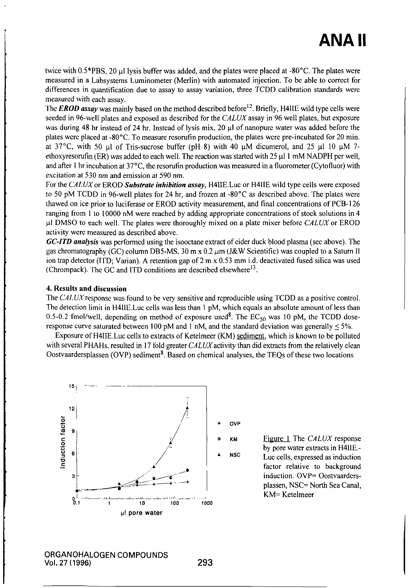twice with  $0.5*PBS$ , 20 µl lysis buffer was added, and the plates were placed at -80 $^{\circ}$ C. The plates were measured in a Labsystems Luminometer (Merlin) with automated injection. To bc able lo correct for differences in quantification due to assay to assay variation, three TCDD calibration standards were measured wilh each assay.

The **EROD assay** was mainly based on the method described before<sup>12</sup>. Briefly, H4IIE wild type cells were seeded in 96-well plates and exposed as described for the CALUX assay in 96 well plates, but exposure was during 48 hr instead of 24 hr. Instead of lysis mix, 20 µl of nanopure water was added before the plates were placed at -80°C. To measure resorution production, the plates were pre-incubated for 20 min. at 37°C, with 50 µl of Tris-sucrose buffer (pH 8) with 40  $\mu$ M dicumerol, and 25  $\mu$ l 10  $\mu$ M 7ethoxyresorufin (ER) was added to each well. The reaction was started with  $25 \mu$  1 mM NADPH per well, and after I hr incubation at 37°C, the resomfin production was measured in a fluorometer (Cytofluor) wilh excitation at 530 nm and emission at 590 nm.

For the CALUX or EROD Substrate inhibition assay, H4IIE. Luc or H4IIE wild type cells were exposed to 50 pM TCDD in 96-well plates for 24 hr, and frozen at -80°C as described above. The plales were thawed on ice prior to luciferase or EROD activity measurement, and final concentralions of PCB-126 ranging from 1 to 10000 nM were reached by adding appropriate concentrations of slock solutions in 4 µl DMSO to each well. The plates were thoroughly mixed on a plate mixer before CALUX or EROD activity were measured as described above.

GC-ITD analysis was performed using the isooctane extract of eider duck blood plasma (sec above). The gas chromatography (GC) column DB5-MS, 30 m x 0.2  $\mu$ m (J&W Scientific) was coupled to a Saturn II ion trap detector (ITD; Varian). A retention gap of 2 m x 0.53 mm i.d. deactivated fused silica was used (Chrompack). The GC and ITD conditions are described elsewhere<sup>13</sup>.

#### 4. Results and discussion

The CALUX response was found to be very sensitive and reproducible using TCDD as a positive control. The detection limit in H4IIE.Luc cells was less than 1 pM, which equals an absolute amount of less than 0.5-0.2 fmol/well, depending on method of exposure used<sup>8</sup>. The  $EC_{50}$  was 10 pM, the TCDD doseresponse curve saturated between 100 pM and 1 nM, and the standard deviation was generally  $\leq$  5%.

Exposure of H4IIE.Luc cells to extracts of Ketelmeer (KM) sediment, which is known to be polluted with several PHAHs, resulted in 17 fold greater  $CALUX$  activity than did extracts from the relatively clean Oostvaardersplassen (OVP) sediment<sup>8</sup>. Based on chemical analyses, the TEQs of these two locations



+ OVP

Figure 1 The CALUX response by pore water extracts in H411E.- Luc cells, expressed as induction factor relative to background induction. OVP= Oostvaardersplassen, NSC= North Sea Canal, KM= Ketelmeer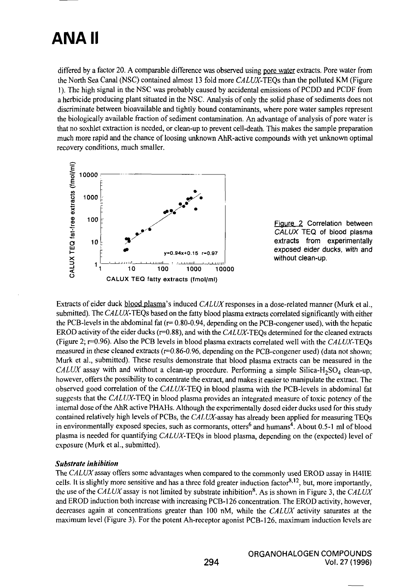## **ANAII**

differed by a factor 20. A comparable difference was observed using pore water extracts. Pore water from the North Sea Canal (NSC) contained almost 13 fold more CALUX-TEOs than the polluted KM (Figure 1). The high signal in the NSC was probably caused by accidental emissions of PCDD and PCDF from a herbicide producing plant situated in the NSC. Analysis of only the solid phase of sediments does nol discriminate between bioavaiiable and tightly bound contaminants, where pore water samples represeni the biologically available fraction of sediment contamination. An advantage of analysis of pore water is that no soxhlet extraction is needed, or clean-up to prevent cell-death. This makes the sample preparation much more rapid and the chance of loosing unknown AhR-active compounds with yet unknown optimal recovery conditions, much smaller.





Extracts of eider duck blood plasma's induced CALUX responses in a dose-related manner (Murk et al., submitted). The CALUX-TEQs based on the fatty blood plasma extracts correlated significantly with either the PCB-levels in the abdominal fat ( $r= 0.80-0.94$ , depending on the PCB-congener used), with the hepatic EROD activity of the eider ducks ( $r=0.88$ ), and with the CALUX-TEQs determined for the cleaned extracts (Figure 2;  $r=0.96$ ). Also the PCB levels in blood plasma extracts correlated well with the CALUX-TEQs measured in these cleaned extracts (r=0.86-0.96, depending on the PCB-congener used) (data not shown; Murk et al., submitted). These results demonstrate that blood plasma extracts can be measured in the  $CALUX$  assay with and without a clean-up procedure. Performing a simple Silica-H<sub>2</sub>SO<sub>4</sub> clean-up, however, offers the possibility to concentrate the extract, and makes it easier to manipulate the extract. The observed good correlation of the CALUX-TEQ in blood plasma with the PCB-levels in abdominal fat suggests that the  $CALUX-TEQ$  in blood plasma provides an integrated measure of toxic potency of the internal dose of the AhR active PHAHs. Although the experimentally dosed eider ducks used for this study contained relatively high levels of PCBs, the CALUX-assay has already been applied for measuring TEQs in environmentally exposed species, such as cormorants, otters<sup>6</sup> and humans<sup>4</sup>. About 0.5-1 ml of blood plasma is needed for quantifying CALUX-TEQs in blood plasma, depending on the (expected) level of exposure (Murk et al., submitted).

### Substrate inhibition

The CALUX assay offers some advantages when compared to the commonly used EROD assay in H4IIE cells. It is slightly more sensitive and has a three fold greater induction factor $^{8,12}$ , but, more importantly, the use of the CALUX assay is not limited by substrate inhibition<sup>8</sup>. As is shown in Figure 3, the CALUX and EROD induction both increase with increasing PCB-126 concentration. The EROD activity, however, decreases again at concentrations greater than 100 nM, while the  $CALUX$  activity saturates at the maximum level (Figure 3). For the potent Ah-receptor agonist PCB-126, maximum induction levels are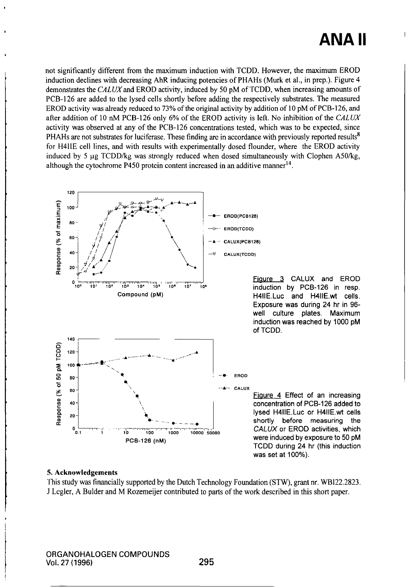## **ANA II**

not significantly differeni from the maximum induction wilh TCDD. However, the maximum EROD induction declines with decreasing AhR inducing potencies of PHAHs (Murk el al., in prep.). Figure 4 demonstrates the CALUX and EROD activity, induced by 50 pM of TCDD, when increasing amounts of PCB-126 are added to the lysed cells shortly before adding the respectively subsfrates. The measured EROD activity was already reduced to 73% of the original activity by addition of 10 pM of PCB-126, and after addition of 10 nM PCB-126 only 6% of the EROD activity is left. No inhibition of the CALUX activity was observed at any of the PCB-126 concentrations tested, which was to be expected, since PHAHs are not substrates for luciferase. These finding are in accordance with previously reported results<sup>8</sup> for H4IIE cell lines, and with results with experimentally dosed flounder, where the EROD activity induced by 5 pg TCDD/kg was strongly reduced when dosed simultaneously with Clophen A50/kg, although the cytochrome P450 protein content increased in an additive manner<sup>14</sup>.



### 5. Acknowledgements

This study was financially supported by the Dutch Technology Foundation (STW), grant nr. WB122.2823. J Legler, A Bulder and M Rozemeijer contributed to parts ofthe work described in this short paper.